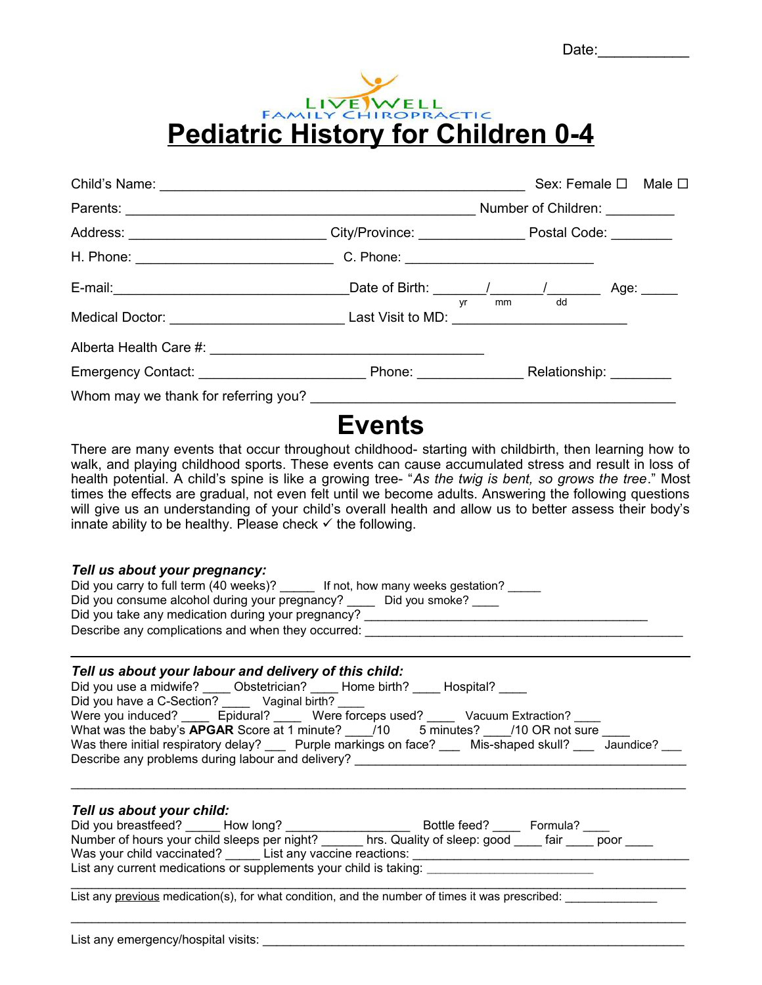Date:\_\_\_\_\_\_\_\_\_\_\_



|                                                                                                           |                                                                                                                       |    | Sex: Female □ Male □          |  |
|-----------------------------------------------------------------------------------------------------------|-----------------------------------------------------------------------------------------------------------------------|----|-------------------------------|--|
|                                                                                                           |                                                                                                                       |    | Number of Children: _________ |  |
| Address: ____________________________City/Province: ____________________________Postal Code: ____________ |                                                                                                                       |    |                               |  |
|                                                                                                           |                                                                                                                       |    |                               |  |
|                                                                                                           |                                                                                                                       |    | $mm$ dd                       |  |
| Medical Doctor: Last Visit to MD: Last Visit to MD:                                                       |                                                                                                                       | vr |                               |  |
|                                                                                                           |                                                                                                                       |    |                               |  |
|                                                                                                           |                                                                                                                       |    |                               |  |
|                                                                                                           |                                                                                                                       |    |                               |  |
|                                                                                                           | <u> на селото на селото на селото на селото на селото на селото на селото на селото на селото на селото на селото</u> |    |                               |  |

# **Events**

There are many events that occur throughout childhood- starting with childbirth, then learning how to walk, and playing childhood sports. These events can cause accumulated stress and result in loss of health potential. A child's spine is like a growing tree- "*As the twig is bent, so grows the tree*." Most times the effects are gradual, not even felt until we become adults. Answering the following questions will give us an understanding of your child's overall health and allow us to better assess their body's innate ability to be healthy. Please check  $\checkmark$  the following.

#### *Tell us about your pregnancy:*

| Did you carry to full term (40 weeks)?             | If not, how many weeks gestation? |
|----------------------------------------------------|-----------------------------------|
| Did you consume alcohol during your pregnancy?     | Did you smoke?                    |
| Did you take any medication during your pregnancy? |                                   |
| Describe any complications and when they occurred: |                                   |
|                                                    |                                   |

## *Tell us about your labour and delivery of this child:*

| Did you use a midwife?<br>Hospital?<br>Obstetrician?<br>Home birth?                             |
|-------------------------------------------------------------------------------------------------|
| Did you have a C-Section?<br>Vaginal birth?                                                     |
| Were you induced?<br>Epidural? Were forceps used?<br>Vacuum Extraction?                         |
| What was the baby's <b>APGAR</b> Score at 1 minute? /10<br>5 minutes?<br>/10 OR not sure        |
| Was there initial respiratory delay? Purple markings on face?<br>Mis-shaped skull?<br>Jaundice? |
| Describe any problems during labour and delivery?                                               |
|                                                                                                 |

### *Tell us about your child:*

| Did you breastfeed?                                               | How long? | Bottle feed?                | Formula? |      |
|-------------------------------------------------------------------|-----------|-----------------------------|----------|------|
| Number of hours your child sleeps per night?                      |           | hrs. Quality of sleep: good | fair     | poor |
| Was your child vaccinated? List any vaccine reactions:            |           |                             |          |      |
| List any current medications or supplements your child is taking: |           |                             |          |      |

List any previous medication(s), for what condition, and the number of times it was prescribed: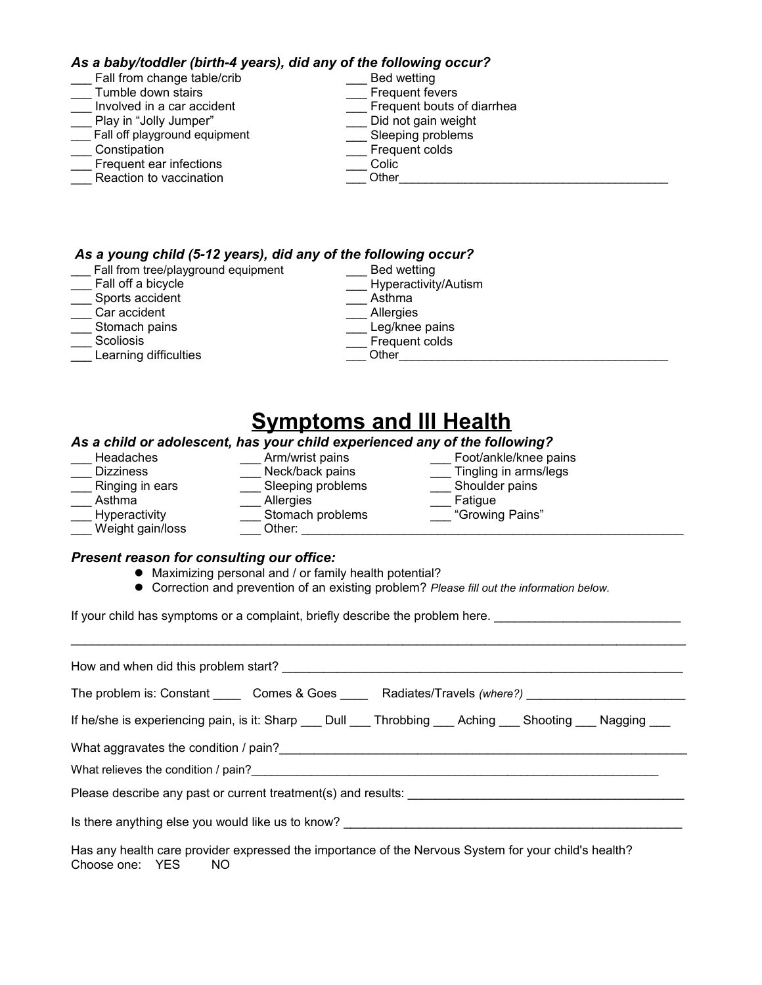#### *As a baby/toddler (birth-4 years), did any of the following occur?*

| Fall from change table/crib   | Bed wetting                |
|-------------------------------|----------------------------|
| Tumble down stairs            | Frequent fevers            |
| Involved in a car accident    | Frequent bouts of diarrhea |
| Play in "Jolly Jumper"        | Did not gain weight        |
| Fall off playground equipment | Sleeping problems          |
| Constipation                  | Frequent colds             |
| Frequent ear infections       | Colic                      |
| Reaction to vaccination       | Other                      |
|                               |                            |

#### *As a young child (5-12 years), did any of the following occur?*

\_\_\_ Fall from tree/playground equipment

- \_\_\_ Fall off a bicycle
- \_\_\_ Sports accident
- \_\_\_ Car accident
- \_\_\_ Stomach pains
- **Scoliosis**
- Learning difficulties

\_\_\_ Bed wetting \_\_\_ Hyperactivity/Autism \_\_\_ Asthma \_\_\_ Allergies Leg/knee pains

\_\_\_ Frequent colds

- \_\_\_ Other\_\_\_\_\_\_\_\_\_\_\_\_\_\_\_\_\_\_\_\_\_\_\_\_\_\_\_\_\_\_\_\_\_\_\_\_\_\_\_\_\_
- 
- **Symptoms and Ill Health** *As a child or adolescent, has your child experienced any of the following?* \_\_\_ Headaches \_\_\_ Arm/wrist pains \_\_\_ Foot/ankle/knee pains \_\_\_ Dizziness \_\_\_ Neck/back pains \_\_\_ Tingling in arms/legs \_\_\_ Ringing in ears \_\_\_\_\_ \_\_\_ Sleeping problems \_\_\_\_\_ Shoulder paintings are painting to the painting of the pains of the pains of the pains of the pains of the pains of the pains of the pains of the pains of the pains of \_\_\_ Asthma \_\_\_ Allergies \_\_\_ Fatigue \_\_\_ Hyperactivity \_\_\_ Stomach problems \_\_\_ "Growing Pains" \_\_\_ Weight gain/loss \_\_\_ Other: \_\_\_\_\_\_\_\_\_\_\_\_\_\_\_\_\_\_\_\_\_\_\_\_\_\_\_\_\_\_\_\_\_\_\_\_\_\_\_\_\_\_\_\_\_\_\_\_\_\_\_\_\_\_\_\_

#### *Present reason for consulting our office:*

- $\bullet$  Maximizing personal and / or family health potential?
- **Correction and prevention of an existing problem?** *Please fill out the information below.*

If your child has symptoms or a complaint, briefly describe the problem here.

| How and when did this problem start?                                                                                                                                                                                           |
|--------------------------------------------------------------------------------------------------------------------------------------------------------------------------------------------------------------------------------|
| The problem is: Constant ______Comes & Goes ________Radiates/Travels (where?)                                                                                                                                                  |
| If he/she is experiencing pain, is it: Sharp ____ Dull ____ Throbbing ____ Aching ____ Shooting ____ Nagging ___                                                                                                               |
|                                                                                                                                                                                                                                |
| What relieves the condition / pain? Notified the conditional condition of the condition of the condition of the condition of the condition of the condition of the condition of the condition of the condition of the conditio |
| Please describe any past or current treatment(s) and results:                                                                                                                                                                  |
| Is there anything else you would like us to know? ______________________________                                                                                                                                               |
| Has any health care provider expressed the importance of the Nervous System for your child's health?                                                                                                                           |

Choose one: YES NO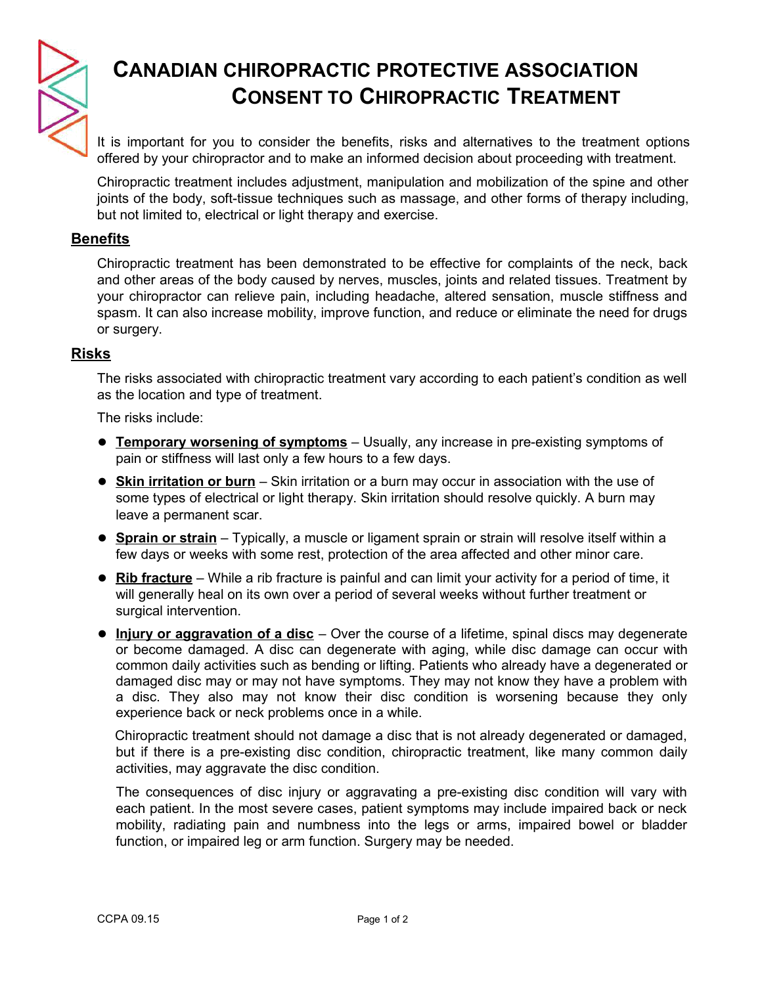

# **CANADIAN CHIROPRACTIC PROTECTIVE ASSOCIATION CONSENT TO CHIROPRACTIC TREATMENT**

It is important for you to consider the benefits, risks and alternatives to the treatment options offered by your chiropractor and to make an informed decision about proceeding with treatment.

Chiropractic treatment includes adjustment, manipulation and mobilization of the spine and other joints of the body, soft-tissue techniques such as massage, and other forms of therapy including, but not limited to, electrical or light therapy and exercise.

## **Benefits**

Chiropractic treatment has been demonstrated to be effective for complaints of the neck, back and other areas of the body caused by nerves, muscles, joints and related tissues. Treatment by your chiropractor can relieve pain, including headache, altered sensation, muscle stiffness and spasm. It can also increase mobility, improve function, and reduce or eliminate the need for drugs or surgery.

## **Risks**

The risks associated with chiropractic treatment vary according to each patient's condition as well as the location and type of treatment.

The risks include:

- **Temporary worsening of symptoms** Usually, any increase in pre-existing symptoms of pain or stiffness will last only a few hours to a few days.
- **Skin irritation or burn** Skin irritation or a burn may occur in association with the use of some types of electrical or light therapy. Skin irritation should resolve quickly. A burn may leave a permanent scar.
- **Sprain or strain** Typically, a muscle or ligament sprain or strain will resolve itself within a few days or weeks with some rest, protection of the area affected and other minor care.
- **Rib fracture** While a rib fracture is painful and can limit your activity for a period of time, it will generally heal on its own over a period of several weeks without further treatment or surgical intervention.
- **Injury or aggravation of a disc** Over the course of a lifetime, spinal discs may degenerate or become damaged. A disc can degenerate with aging, while disc damage can occur with common daily activities such as bending or lifting. Patients who already have a degenerated or damaged disc may or may not have symptoms. They may not know they have a problem with a disc. They also may not know their disc condition is worsening because they only experience back or neck problems once in a while.

Chiropractic treatment should not damage a disc that is not already degenerated or damaged, but if there is a pre-existing disc condition, chiropractic treatment, like many common daily activities, may aggravate the disc condition.

The consequences of disc injury or aggravating a pre-existing disc condition will vary with each patient. In the most severe cases, patient symptoms may include impaired back or neck mobility, radiating pain and numbness into the legs or arms, impaired bowel or bladder function, or impaired leg or arm function. Surgery may be needed.